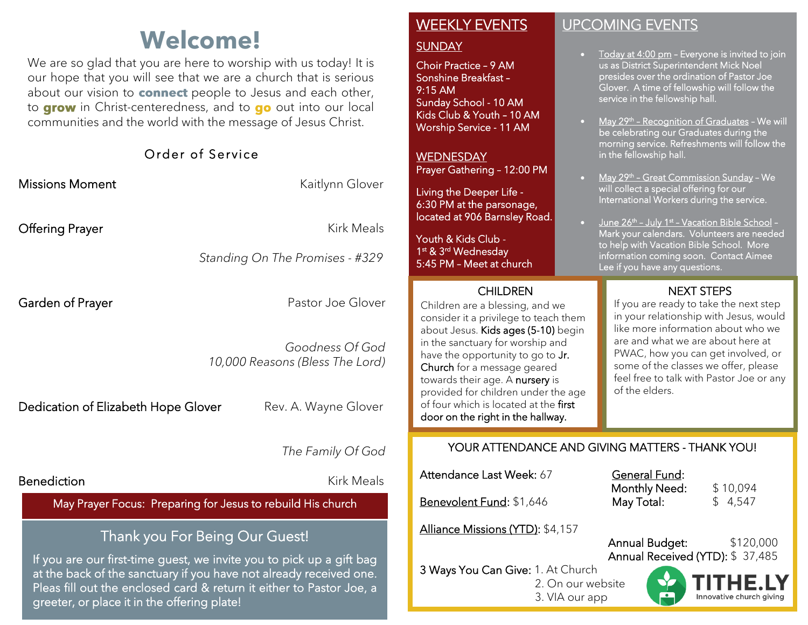# **Welcome!**

We are so glad that you are here to worship with us today! It is our hope that you will see that we are a church that is serious about our vision to **connect** people to Jesus and each other, to grow in Christ-centeredness, and to go out into our local communities and the world with the message of Jesus Christ.

|                                                                                                                                                                              | Order of Service                                   |
|------------------------------------------------------------------------------------------------------------------------------------------------------------------------------|----------------------------------------------------|
| <b>Missions Moment</b>                                                                                                                                                       | Kaitlynn Glover                                    |
| Offering Prayer                                                                                                                                                              | Kirk Meals                                         |
|                                                                                                                                                                              | Standing On The Promises - #329                    |
| Garden of Prayer                                                                                                                                                             | Pastor Joe Glover                                  |
|                                                                                                                                                                              | Goodness Of God<br>10,000 Reasons (Bless The Lord) |
| Dedication of Elizabeth Hope Glover                                                                                                                                          | Rev. A. Wayne Glover                               |
|                                                                                                                                                                              | The Family Of God                                  |
| <b>Benediction</b>                                                                                                                                                           | <b>Kirk Meals</b>                                  |
| May Prayer Focus: Preparing for Jesus to rebuild His church                                                                                                                  |                                                    |
| Thank you For Being Our Guest!<br>If you are our first-time guest, we invite you to pick up a gift bag<br>at the back of the sanctuary if you have not already received one. |                                                    |

Pleas fill out the enclosed card & return it either to Pastor Joe, a

greeter, or place it in the offering plate!

### WEEKLY EVENTS

#### **SUNDAY**

Choir Practice – 9 AM Sonshine Breakfast – 9:15 AM Sunday School - 10 AM Kids Club & Youth – 10 AM Worship Service - 11 AM

**WEDNESDAY** Prayer Gathering – 12:00 PM

Living the Deeper Life - 6:30 PM at the parsonage, located at 906 Barnsley Road.

Youth & Kids Club - 1 st & 3rd Wednesday 5:45 PM – Meet at church

I

#### CHILDREN

Ī

 Children are a blessing, and we provided for children under the age of four which is located at the **first** consider it a privilege to teach them about Jesus. Kids ages (5-10) begin in the sanctuary for worship and have the opportunity to go to Jr. Church for a message geared towards their age. A nursery is door on the right in the hallway. į

#### UPCOMING EVENTS

- Today at 4:00 pm Everyone is invited to join us as District Superintendent Mick Noel presides over the ordination of Pastor Joe Glover. A time of fellowship will follow the service in the fellowship hall.
- May 29<sup>th</sup> Recognition of Graduates We will be celebrating our Graduates during the morning service. Refreshments will follow the in the fellowship hall.
- May 29<sup>th</sup> Great Commission Sunday We will collect a special offering for our International Workers during the service.
- June 26th July 1st Vacation Bible School -Mark your calendars. Volunteers are needed to help with Vacation Bible School. More information coming soon. Contact Aimee Lee if you have any questions.

#### NEXT STEPS

If you are ready to take the next step in your relationship with Jesus, would like more information about who we are and what we are about here at PWAC, how you can get involved, or some of the classes we offer, please feel free to talk with Pastor Joe or any of the elders.

#### YOUR ATTENDANCE AND GIVING MATTERS - THANK YOU!

Attendance Last Week: 67 General Fund:

Benevolent Fund: \$1,646 May Total: \$ 4,547

Alliance Missions (YTD): \$4,157

3 Ways You Can Give: 1. At Church

Monthly Need: \$10,094

 Annual Budget: \$120,000 Annual Received (YTD): \$ 37,485

- Innovative church giving
- 2. On our website
- 3. VIA our app